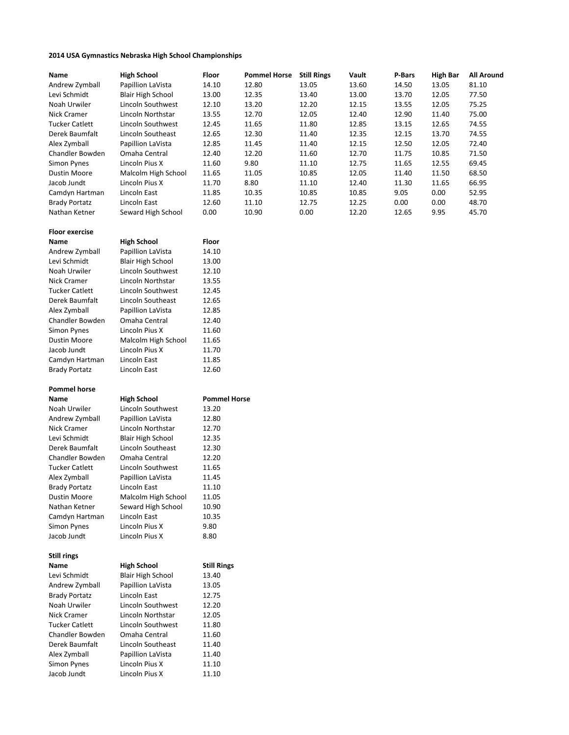## 2014 USA Gymnastics Nebraska High School Championships

| Name                  | <b>High School</b>       | Floor               | <b>Pommel Horse</b> Still Rings |       | Vault | P-Bars | High Bar | <b>All Around</b> |
|-----------------------|--------------------------|---------------------|---------------------------------|-------|-------|--------|----------|-------------------|
| Andrew Zymball        | Papillion LaVista        | 14.10               | 12.80                           | 13.05 | 13.60 | 14.50  | 13.05    | 81.10             |
| Levi Schmidt          | <b>Blair High School</b> | 13.00               | 12.35                           | 13.40 | 13.00 | 13.70  | 12.05    | 77.50             |
| Noah Urwiler          | Lincoln Southwest        | 12.10               | 13.20                           | 12.20 | 12.15 | 13.55  | 12.05    | 75.25             |
| Nick Cramer           | Lincoln Northstar        | 13.55               | 12.70                           | 12.05 | 12.40 | 12.90  | 11.40    | 75.00             |
| <b>Tucker Catlett</b> | Lincoln Southwest        | 12.45               | 11.65                           | 11.80 | 12.85 | 13.15  | 12.65    | 74.55             |
| Derek Baumfalt        | Lincoln Southeast        | 12.65               | 12.30                           | 11.40 | 12.35 | 12.15  | 13.70    | 74.55             |
| Alex Zymball          | Papillion LaVista        | 12.85               | 11.45                           | 11.40 | 12.15 | 12.50  | 12.05    | 72.40             |
| Chandler Bowden       | Omaha Central            | 12.40               | 12.20                           | 11.60 | 12.70 | 11.75  | 10.85    | 71.50             |
| Simon Pynes           | Lincoln Pius X           | 11.60               | 9.80                            | 11.10 | 12.75 | 11.65  | 12.55    | 69.45             |
| <b>Dustin Moore</b>   | Malcolm High School      | 11.65               | 11.05                           | 10.85 | 12.05 | 11.40  | 11.50    | 68.50             |
| Jacob Jundt           | Lincoln Pius X           | 11.70               | 8.80                            | 11.10 | 12.40 | 11.30  | 11.65    | 66.95             |
| Camdyn Hartman        | Lincoln East             | 11.85               | 10.35                           | 10.85 | 10.85 | 9.05   | 0.00     | 52.95             |
| <b>Brady Portatz</b>  | Lincoln East             | 12.60               | 11.10                           | 12.75 | 12.25 | 0.00   | 0.00     | 48.70             |
| Nathan Ketner         | Seward High School       | 0.00                | 10.90                           | 0.00  | 12.20 | 12.65  | 9.95     | 45.70             |
|                       |                          |                     |                                 |       |       |        |          |                   |
| <b>Floor exercise</b> |                          |                     |                                 |       |       |        |          |                   |
| Name                  | <b>High School</b>       | Floor               |                                 |       |       |        |          |                   |
| Andrew Zymball        | Papillion LaVista        | 14.10               |                                 |       |       |        |          |                   |
| Levi Schmidt          | <b>Blair High School</b> | 13.00               |                                 |       |       |        |          |                   |
| Noah Urwiler          | Lincoln Southwest        | 12.10               |                                 |       |       |        |          |                   |
| Nick Cramer           | Lincoln Northstar        | 13.55               |                                 |       |       |        |          |                   |
| <b>Tucker Catlett</b> | Lincoln Southwest        | 12.45               |                                 |       |       |        |          |                   |
| Derek Baumfalt        | Lincoln Southeast        | 12.65               |                                 |       |       |        |          |                   |
|                       |                          |                     |                                 |       |       |        |          |                   |
| Alex Zymball          | Papillion LaVista        | 12.85               |                                 |       |       |        |          |                   |
| Chandler Bowden       | Omaha Central            | 12.40               |                                 |       |       |        |          |                   |
| Simon Pynes           | Lincoln Pius X           | 11.60               |                                 |       |       |        |          |                   |
| <b>Dustin Moore</b>   | Malcolm High School      | 11.65               |                                 |       |       |        |          |                   |
| Jacob Jundt           | Lincoln Pius X           | 11.70               |                                 |       |       |        |          |                   |
| Camdyn Hartman        | Lincoln East             | 11.85               |                                 |       |       |        |          |                   |
| <b>Brady Portatz</b>  | Lincoln East             | 12.60               |                                 |       |       |        |          |                   |
| <b>Pommel horse</b>   |                          |                     |                                 |       |       |        |          |                   |
| Name                  | <b>High School</b>       | <b>Pommel Horse</b> |                                 |       |       |        |          |                   |
| Noah Urwiler          | Lincoln Southwest        | 13.20               |                                 |       |       |        |          |                   |
| Andrew Zymball        | Papillion LaVista        | 12.80               |                                 |       |       |        |          |                   |
|                       |                          | 12.70               |                                 |       |       |        |          |                   |
| Nick Cramer           | Lincoln Northstar        |                     |                                 |       |       |        |          |                   |
| Levi Schmidt          | <b>Blair High School</b> | 12.35               |                                 |       |       |        |          |                   |
| Derek Baumfalt        | Lincoln Southeast        | 12.30               |                                 |       |       |        |          |                   |
| Chandler Bowden       | Omaha Central            | 12.20               |                                 |       |       |        |          |                   |
| <b>Tucker Catlett</b> | Lincoln Southwest        | 11.65               |                                 |       |       |        |          |                   |
| Alex Zymball          | Papillion LaVista        | 11.45               |                                 |       |       |        |          |                   |
| Brady Portatz         | Lincoln East             | 11.10               |                                 |       |       |        |          |                   |
| <b>Dustin Moore</b>   | Malcolm High School      | 11.05               |                                 |       |       |        |          |                   |
| Nathan Ketner         | Seward High School       | 10.90               |                                 |       |       |        |          |                   |
| Camdyn Hartman        | Lincoln East             | 10.35               |                                 |       |       |        |          |                   |
| Simon Pynes           | Lincoln Pius X           | 9.80                |                                 |       |       |        |          |                   |
| Jacob Jundt           | Lincoln Pius X           | 8.80                |                                 |       |       |        |          |                   |
|                       |                          |                     |                                 |       |       |        |          |                   |
| <b>Still rings</b>    |                          |                     |                                 |       |       |        |          |                   |
| Name                  | <b>High School</b>       | <b>Still Rings</b>  |                                 |       |       |        |          |                   |
| Levi Schmidt          | <b>Blair High School</b> | 13.40               |                                 |       |       |        |          |                   |
| Andrew Zymball        | Papillion LaVista        | 13.05               |                                 |       |       |        |          |                   |
| <b>Brady Portatz</b>  | Lincoln East             | 12.75               |                                 |       |       |        |          |                   |
| Noah Urwiler          | Lincoln Southwest        | 12.20               |                                 |       |       |        |          |                   |
| Nick Cramer           | Lincoln Northstar        | 12.05               |                                 |       |       |        |          |                   |
| <b>Tucker Catlett</b> | Lincoln Southwest        | 11.80               |                                 |       |       |        |          |                   |
| Chandler Bowden       | Omaha Central            | 11.60               |                                 |       |       |        |          |                   |
| Derek Baumfalt        | Lincoln Southeast        | 11.40               |                                 |       |       |        |          |                   |
| Alex Zymball          | Papillion LaVista        | 11.40               |                                 |       |       |        |          |                   |
| Simon Pynes           | Lincoln Pius X           | 11.10               |                                 |       |       |        |          |                   |
| Jacob Jundt           | Lincoln Pius X           | 11.10               |                                 |       |       |        |          |                   |